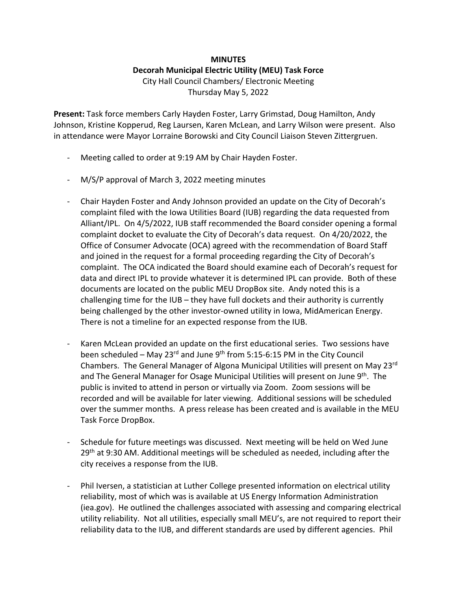## **MINUTES Decorah Municipal Electric Utility (MEU) Task Force** City Hall Council Chambers/ Electronic Meeting Thursday May 5, 2022

**Present:** Task force members Carly Hayden Foster, Larry Grimstad, Doug Hamilton, Andy Johnson, Kristine Kopperud, Reg Laursen, Karen McLean, and Larry Wilson were present. Also in attendance were Mayor Lorraine Borowski and City Council Liaison Steven Zittergruen.

- Meeting called to order at 9:19 AM by Chair Hayden Foster.
- M/S/P approval of March 3, 2022 meeting minutes
- Chair Hayden Foster and Andy Johnson provided an update on the City of Decorah's complaint filed with the Iowa Utilities Board (IUB) regarding the data requested from Alliant/IPL. On 4/5/2022, IUB staff recommended the Board consider opening a formal complaint docket to evaluate the City of Decorah's data request. On 4/20/2022, the Office of Consumer Advocate (OCA) agreed with the recommendation of Board Staff and joined in the request for a formal proceeding regarding the City of Decorah's complaint. The OCA indicated the Board should examine each of Decorah's request for data and direct IPL to provide whatever it is determined IPL can provide. Both of these documents are located on the public MEU DropBox site. Andy noted this is a challenging time for the IUB – they have full dockets and their authority is currently being challenged by the other investor-owned utility in Iowa, MidAmerican Energy. There is not a timeline for an expected response from the IUB.
- Karen McLean provided an update on the first educational series. Two sessions have been scheduled – May 23 $^{rd}$  and June 9<sup>th</sup> from 5:15-6:15 PM in the City Council Chambers. The General Manager of Algona Municipal Utilities will present on May 23rd and The General Manager for Osage Municipal Utilities will present on June  $9<sup>th</sup>$ . The public is invited to attend in person or virtually via Zoom. Zoom sessions will be recorded and will be available for later viewing. Additional sessions will be scheduled over the summer months. A press release has been created and is available in the MEU Task Force DropBox.
- Schedule for future meetings was discussed. Next meeting will be held on Wed June  $29<sup>th</sup>$  at 9:30 AM. Additional meetings will be scheduled as needed, including after the city receives a response from the IUB.
- Phil Iversen, a statistician at Luther College presented information on electrical utility reliability, most of which was is available at US Energy Information Administration (iea.gov). He outlined the challenges associated with assessing and comparing electrical utility reliability. Not all utilities, especially small MEU's, are not required to report their reliability data to the IUB, and different standards are used by different agencies. Phil